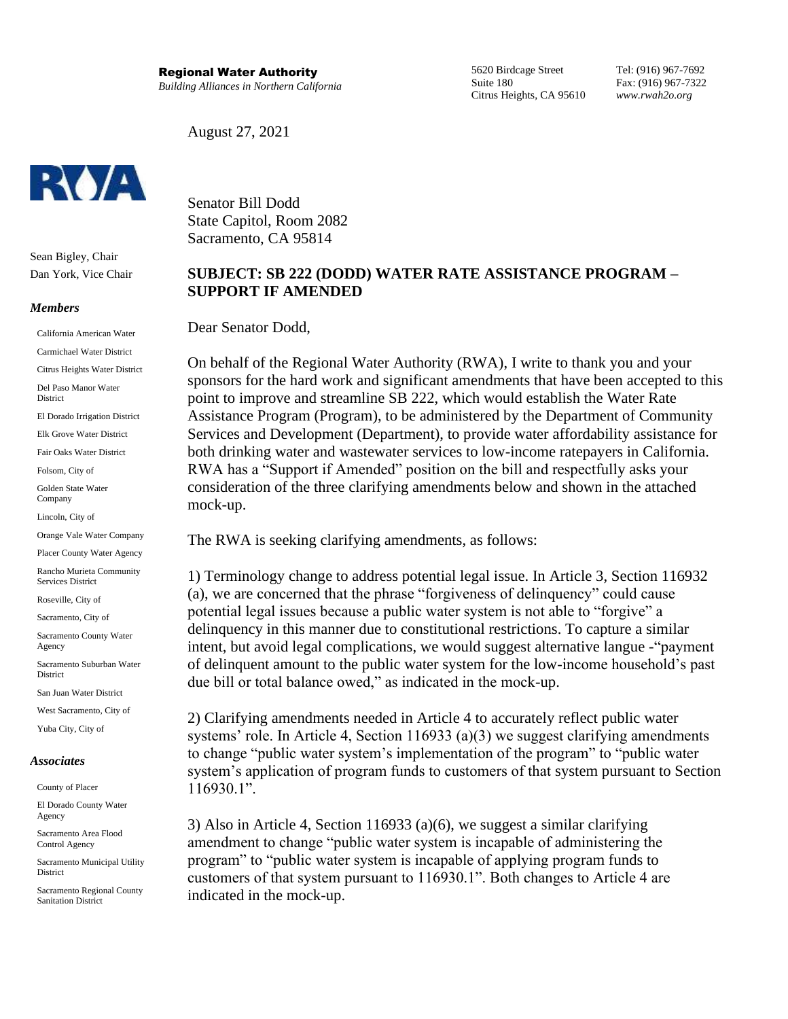5620 Birdcage Street Suite 180 Citrus Heights, CA 95610 Tel: (916) 967-7692 Fax: (916) 967-7322 *www.rwah2o.org*

August 27, 2021



Senator Bill Dodd State Capitol, Room 2082 Sacramento, CA 95814

# **SUBJECT: SB 222 (DODD) WATER RATE ASSISTANCE PROGRAM – SUPPORT IF AMENDED**

Dear Senator Dodd,

On behalf of the Regional Water Authority (RWA), I write to thank you and your sponsors for the hard work and significant amendments that have been accepted to this point to improve and streamline SB 222, which would establish the Water Rate Assistance Program (Program), to be administered by the Department of Community Services and Development (Department), to provide water affordability assistance for both drinking water and wastewater services to low-income ratepayers in California. RWA has a "Support if Amended" position on the bill and respectfully asks your consideration of the three clarifying amendments below and shown in the attached mock-up.

The RWA is seeking clarifying amendments, as follows:

1) Terminology change to address potential legal issue. In Article 3, Section 116932 (a), we are concerned that the phrase "forgiveness of delinquency" could cause potential legal issues because a public water system is not able to "forgive" a delinquency in this manner due to constitutional restrictions. To capture a similar intent, but avoid legal complications, we would suggest alternative langue -"payment of delinquent amount to the public water system for the low-income household's past due bill or total balance owed," as indicated in the mock-up.

2) Clarifying amendments needed in Article 4 to accurately reflect public water systems' role. In Article 4, Section 116933 (a)(3) we suggest clarifying amendments to change "public water system's implementation of the program" to "public water system's application of program funds to customers of that system pursuant to Section 116930.1".

3) Also in Article 4, Section 116933 (a)(6), we suggest a similar clarifying amendment to change "public water system is incapable of administering the program" to "public water system is incapable of applying program funds to customers of that system pursuant to 116930.1". Both changes to Article 4 are indicated in the mock-up.



Sean Bigley, Chair Dan York, Vice Chair

#### *Members*

California American Water

Carmichael Water District

Citrus Heights Water District

Del Paso Manor Water District

El Dorado Irrigation District

Elk Grove Water District

Fair Oaks Water District

Folsom, City of

Golden State Water Company

Lincoln, City of

Orange Vale Water Company

Placer County Water Agency

Rancho Murieta Community Services District

Roseville, City of

Sacramento, City of

Sacramento County Water Agency

Sacramento Suburban Water **District** 

San Juan Water District

West Sacramento, City of

# Yuba City, City of

### *Associates*

County of Placer

El Dorado County Water Agency

Sacramento Area Flood Control Agency

Sacramento Municipal Utility District

Sacramento Regional County Sanitation District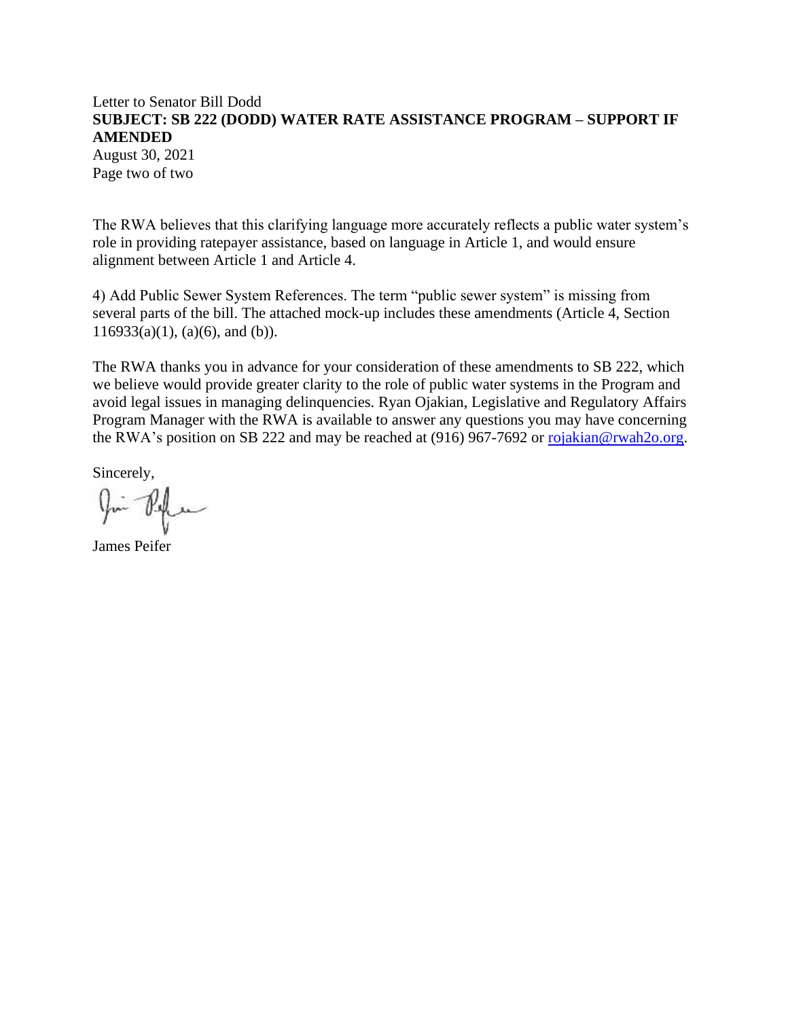# Letter to Senator Bill Dodd **SUBJECT: SB 222 (DODD) WATER RATE ASSISTANCE PROGRAM – SUPPORT IF AMENDED**

August 30, 2021 Page two of two

The RWA believes that this clarifying language more accurately reflects a public water system's role in providing ratepayer assistance, based on language in Article 1, and would ensure alignment between Article 1 and Article 4.

4) Add Public Sewer System References. The term "public sewer system" is missing from several parts of the bill. The attached mock-up includes these amendments (Article 4, Section  $116933(a)(1)$ , (a)(6), and (b)).

The RWA thanks you in advance for your consideration of these amendments to SB 222, which we believe would provide greater clarity to the role of public water systems in the Program and avoid legal issues in managing delinquencies. Ryan Ojakian, Legislative and Regulatory Affairs Program Manager with the RWA is available to answer any questions you may have concerning the RWA's position on SB 222 and may be reached at (916) 967-7692 or [rojakian@rwah2o.org.](mailto:rojakian@rwah2o.org)

Sincerely,

James Peifer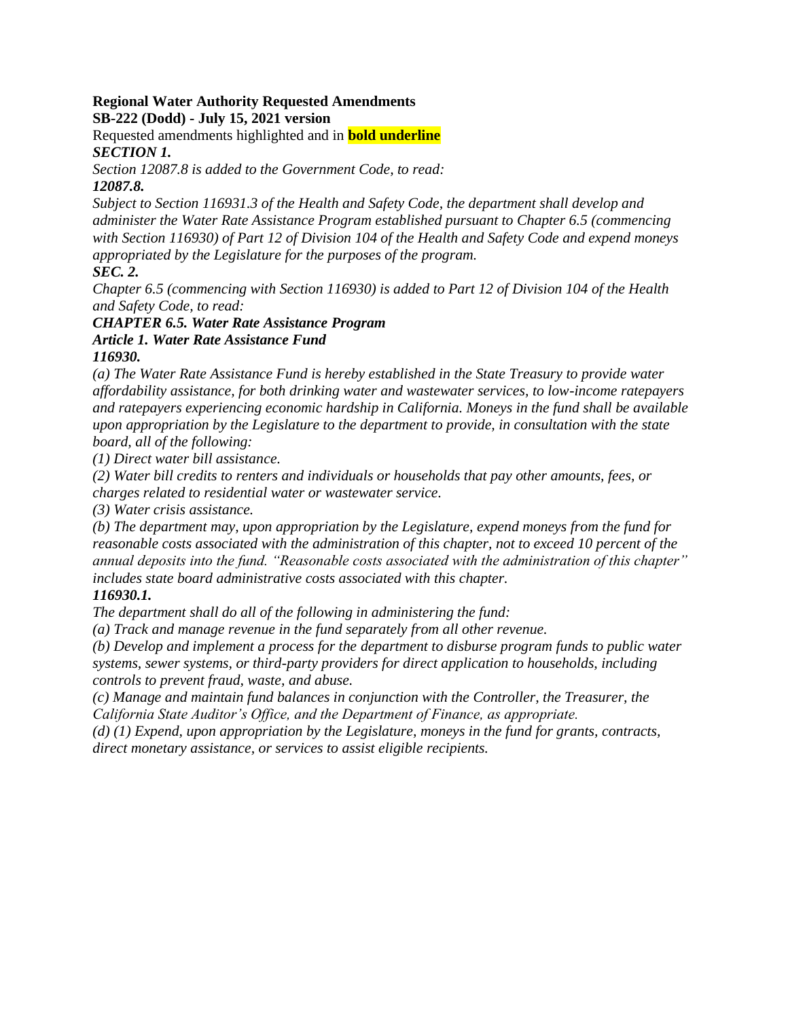### **Regional Water Authority Requested Amendments SB-222 (Dodd) - July 15, 2021 version**

Requested amendments highlighted and in **bold underline** *SECTION 1.* 

*Section 12087.8 is added to the Government Code, to read: 12087.8.* 

*Subject to Section 116931.3 of the Health and Safety Code, the department shall develop and administer the Water Rate Assistance Program established pursuant to Chapter 6.5 (commencing with Section 116930) of Part 12 of Division 104 of the Health and Safety Code and expend moneys appropriated by the Legislature for the purposes of the program.* 

*SEC. 2.* 

*Chapter 6.5 (commencing with Section 116930) is added to Part 12 of Division 104 of the Health and Safety Code, to read:* 

# *CHAPTER 6.5. Water Rate Assistance Program Article 1. Water Rate Assistance Fund 116930.*

*(a) The Water Rate Assistance Fund is hereby established in the State Treasury to provide water affordability assistance, for both drinking water and wastewater services, to low-income ratepayers and ratepayers experiencing economic hardship in California. Moneys in the fund shall be available upon appropriation by the Legislature to the department to provide, in consultation with the state board, all of the following:* 

*(1) Direct water bill assistance.* 

*(2) Water bill credits to renters and individuals or households that pay other amounts, fees, or charges related to residential water or wastewater service.* 

*(3) Water crisis assistance.* 

*(b) The department may, upon appropriation by the Legislature, expend moneys from the fund for reasonable costs associated with the administration of this chapter, not to exceed 10 percent of the annual deposits into the fund. "Reasonable costs associated with the administration of this chapter" includes state board administrative costs associated with this chapter.* 

# *116930.1.*

*The department shall do all of the following in administering the fund:* 

*(a) Track and manage revenue in the fund separately from all other revenue.* 

*(b) Develop and implement a process for the department to disburse program funds to public water systems, sewer systems, or third-party providers for direct application to households, including controls to prevent fraud, waste, and abuse.* 

*(c) Manage and maintain fund balances in conjunction with the Controller, the Treasurer, the California State Auditor's Office, and the Department of Finance, as appropriate.* 

*(d) (1) Expend, upon appropriation by the Legislature, moneys in the fund for grants, contracts, direct monetary assistance, or services to assist eligible recipients.*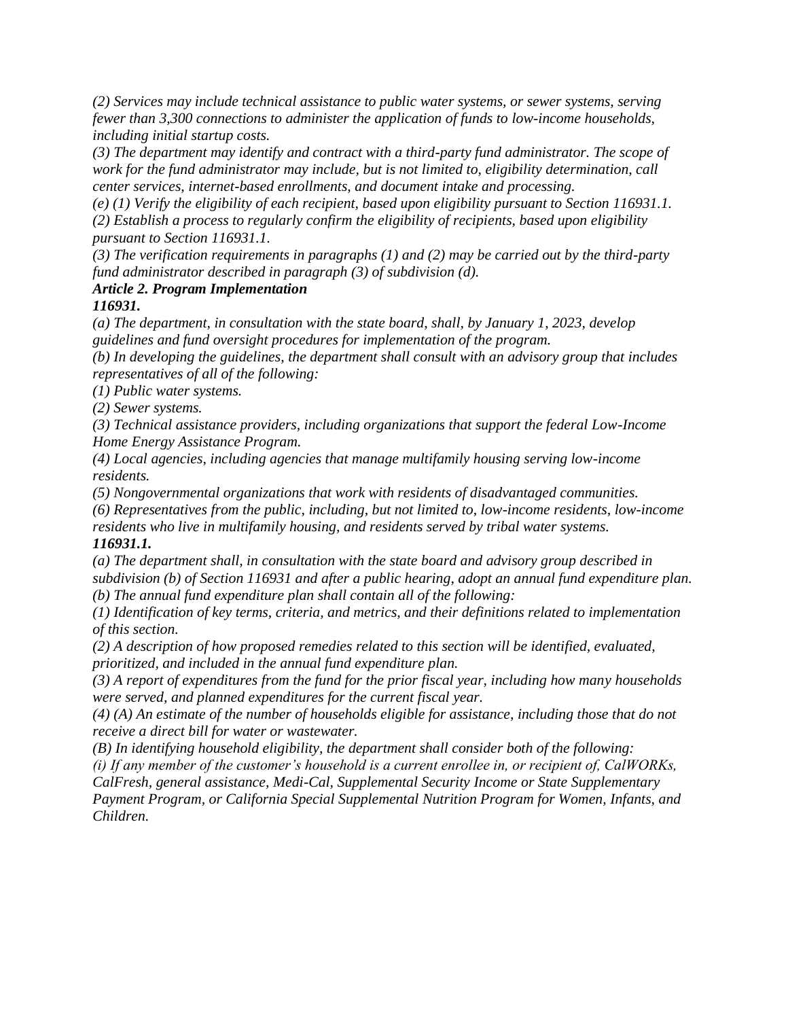*(2) Services may include technical assistance to public water systems, or sewer systems, serving fewer than 3,300 connections to administer the application of funds to low-income households, including initial startup costs.* 

*(3) The department may identify and contract with a third-party fund administrator. The scope of work for the fund administrator may include, but is not limited to, eligibility determination, call center services, internet-based enrollments, and document intake and processing.* 

*(e) (1) Verify the eligibility of each recipient, based upon eligibility pursuant to Section 116931.1. (2) Establish a process to regularly confirm the eligibility of recipients, based upon eligibility pursuant to Section 116931.1.* 

*(3) The verification requirements in paragraphs (1) and (2) may be carried out by the third-party fund administrator described in paragraph (3) of subdivision (d).* 

# *Article 2. Program Implementation*

*116931.* 

*(a) The department, in consultation with the state board, shall, by January 1, 2023, develop guidelines and fund oversight procedures for implementation of the program.* 

*(b) In developing the guidelines, the department shall consult with an advisory group that includes representatives of all of the following:* 

*(1) Public water systems.* 

*(2) Sewer systems.* 

*(3) Technical assistance providers, including organizations that support the federal Low-Income Home Energy Assistance Program.* 

*(4) Local agencies, including agencies that manage multifamily housing serving low-income residents.* 

*(5) Nongovernmental organizations that work with residents of disadvantaged communities.* 

*(6) Representatives from the public, including, but not limited to, low-income residents, low-income residents who live in multifamily housing, and residents served by tribal water systems.* 

# *116931.1.*

*(a) The department shall, in consultation with the state board and advisory group described in subdivision (b) of Section 116931 and after a public hearing, adopt an annual fund expenditure plan. (b) The annual fund expenditure plan shall contain all of the following:* 

*(1) Identification of key terms, criteria, and metrics, and their definitions related to implementation of this section.* 

*(2) A description of how proposed remedies related to this section will be identified, evaluated, prioritized, and included in the annual fund expenditure plan.* 

*(3) A report of expenditures from the fund for the prior fiscal year, including how many households were served, and planned expenditures for the current fiscal year.* 

*(4) (A) An estimate of the number of households eligible for assistance, including those that do not receive a direct bill for water or wastewater.* 

*(B) In identifying household eligibility, the department shall consider both of the following:* 

*(i) If any member of the customer's household is a current enrollee in, or recipient of, CalWORKs, CalFresh, general assistance, Medi-Cal, Supplemental Security Income or State Supplementary* 

*Payment Program, or California Special Supplemental Nutrition Program for Women, Infants, and Children.*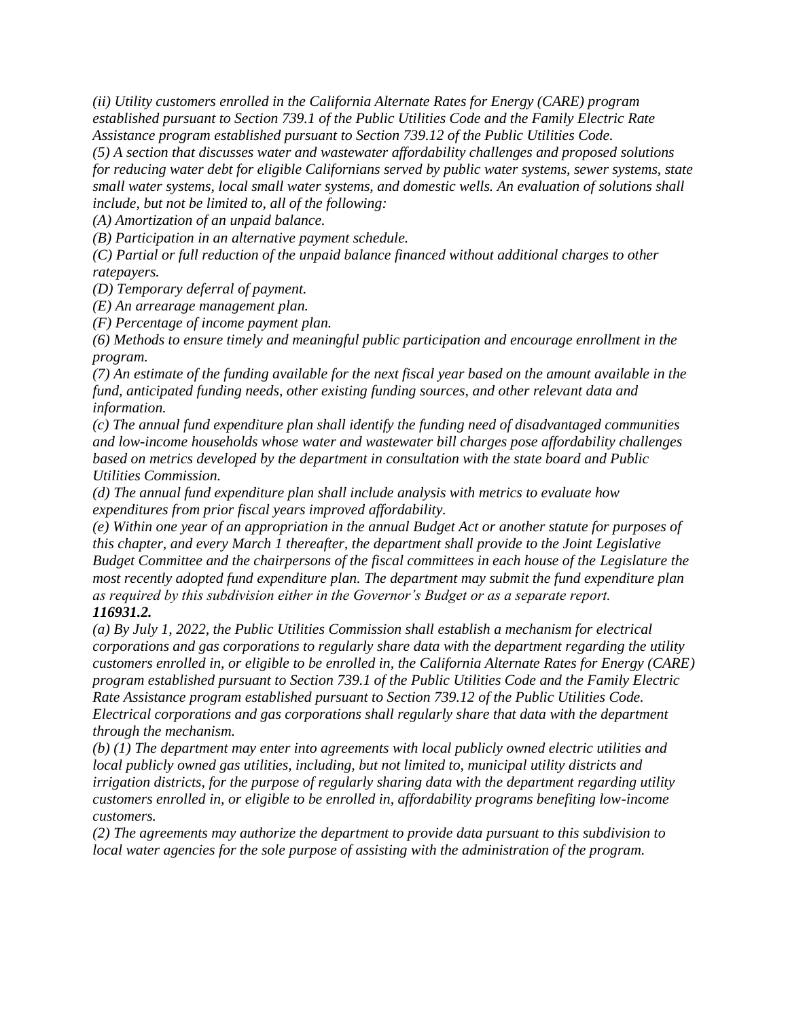*(ii) Utility customers enrolled in the California Alternate Rates for Energy (CARE) program established pursuant to Section 739.1 of the Public Utilities Code and the Family Electric Rate Assistance program established pursuant to Section 739.12 of the Public Utilities Code.* 

*(5) A section that discusses water and wastewater affordability challenges and proposed solutions for reducing water debt for eligible Californians served by public water systems, sewer systems, state small water systems, local small water systems, and domestic wells. An evaluation of solutions shall include, but not be limited to, all of the following:*

*(A) Amortization of an unpaid balance.* 

*(B) Participation in an alternative payment schedule.* 

*(C) Partial or full reduction of the unpaid balance financed without additional charges to other ratepayers.* 

*(D) Temporary deferral of payment.* 

*(E) An arrearage management plan.* 

*(F) Percentage of income payment plan.* 

*(6) Methods to ensure timely and meaningful public participation and encourage enrollment in the program.* 

*(7) An estimate of the funding available for the next fiscal year based on the amount available in the fund, anticipated funding needs, other existing funding sources, and other relevant data and information.* 

*(c) The annual fund expenditure plan shall identify the funding need of disadvantaged communities and low-income households whose water and wastewater bill charges pose affordability challenges based on metrics developed by the department in consultation with the state board and Public Utilities Commission.* 

*(d) The annual fund expenditure plan shall include analysis with metrics to evaluate how expenditures from prior fiscal years improved affordability.* 

*(e) Within one year of an appropriation in the annual Budget Act or another statute for purposes of this chapter, and every March 1 thereafter, the department shall provide to the Joint Legislative Budget Committee and the chairpersons of the fiscal committees in each house of the Legislature the most recently adopted fund expenditure plan. The department may submit the fund expenditure plan as required by this subdivision either in the Governor's Budget or as a separate report. 116931.2.* 

*(a) By July 1, 2022, the Public Utilities Commission shall establish a mechanism for electrical corporations and gas corporations to regularly share data with the department regarding the utility customers enrolled in, or eligible to be enrolled in, the California Alternate Rates for Energy (CARE) program established pursuant to Section 739.1 of the Public Utilities Code and the Family Electric Rate Assistance program established pursuant to Section 739.12 of the Public Utilities Code. Electrical corporations and gas corporations shall regularly share that data with the department through the mechanism.* 

*(b) (1) The department may enter into agreements with local publicly owned electric utilities and local publicly owned gas utilities, including, but not limited to, municipal utility districts and irrigation districts, for the purpose of regularly sharing data with the department regarding utility customers enrolled in, or eligible to be enrolled in, affordability programs benefiting low-income customers.* 

*(2) The agreements may authorize the department to provide data pursuant to this subdivision to local water agencies for the sole purpose of assisting with the administration of the program.*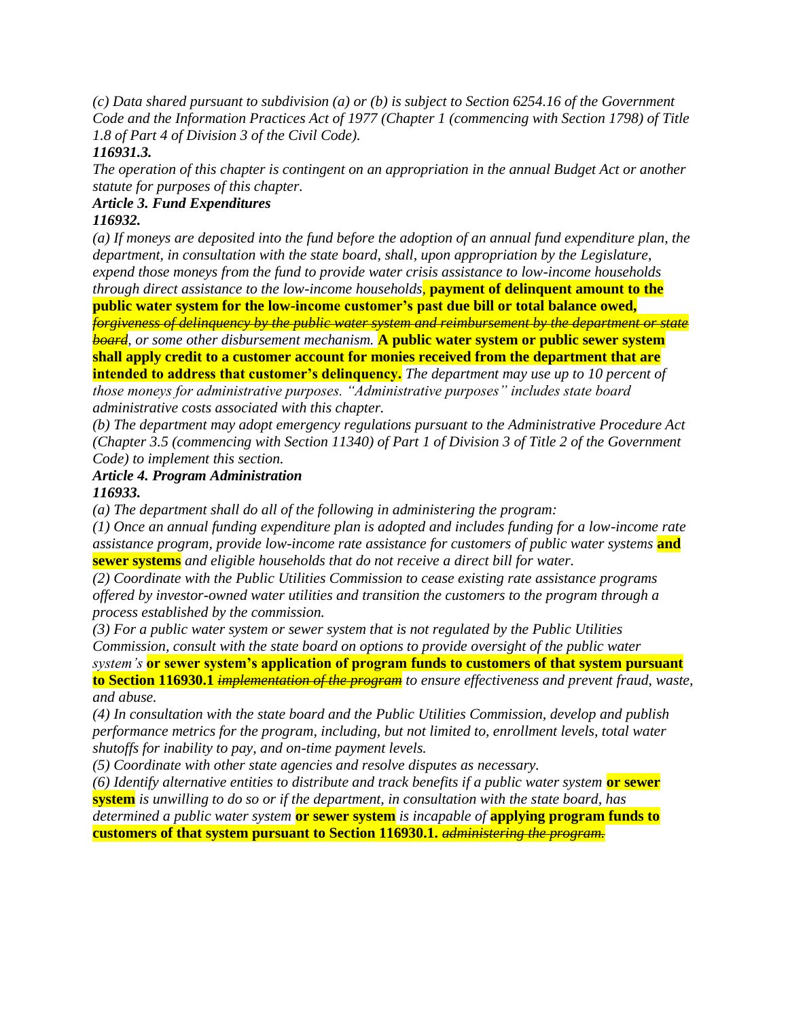*(c) Data shared pursuant to subdivision (a) or (b) is subject to Section 6254.16 of the Government Code and the Information Practices Act of 1977 (Chapter 1 (commencing with Section 1798) of Title 1.8 of Part 4 of Division 3 of the Civil Code).* 

# *116931.3.*

*The operation of this chapter is contingent on an appropriation in the annual Budget Act or another statute for purposes of this chapter.* 

# *Article 3. Fund Expenditures*

# *116932.*

*(a) If moneys are deposited into the fund before the adoption of an annual fund expenditure plan, the department, in consultation with the state board, shall, upon appropriation by the Legislature, expend those moneys from the fund to provide water crisis assistance to low-income households through direct assistance to the low-income households,* **payment of delinquent amount to the public water system for the low-income customer's past due bill or total balance owed,**  *forgiveness of delinquency by the public water system and reimbursement by the department or state board, or some other disbursement mechanism.* **A public water system or public sewer system shall apply credit to a customer account for monies received from the department that are intended to address that customer's delinquency.** *The department may use up to 10 percent of those moneys for administrative purposes. "Administrative purposes" includes state board* 

*administrative costs associated with this chapter. (b) The department may adopt emergency regulations pursuant to the Administrative Procedure Act (Chapter 3.5 (commencing with Section 11340) of Part 1 of Division 3 of Title 2 of the Government Code) to implement this section.* 

### *Article 4. Program Administration 116933.*

*(a) The department shall do all of the following in administering the program:* 

*(1) Once an annual funding expenditure plan is adopted and includes funding for a low-income rate assistance program, provide low-income rate assistance for customers of public water systems* **and sewer systems** *and eligible households that do not receive a direct bill for water.* 

*(2) Coordinate with the Public Utilities Commission to cease existing rate assistance programs offered by investor-owned water utilities and transition the customers to the program through a process established by the commission.* 

*(3) For a public water system or sewer system that is not regulated by the Public Utilities Commission, consult with the state board on options to provide oversight of the public water* 

*system's* **or sewer system's application of program funds to customers of that system pursuant to Section 116930.1** *implementation of the program to ensure effectiveness and prevent fraud, waste, and abuse.* 

*(4) In consultation with the state board and the Public Utilities Commission, develop and publish performance metrics for the program, including, but not limited to, enrollment levels, total water shutoffs for inability to pay, and on-time payment levels.* 

*(5) Coordinate with other state agencies and resolve disputes as necessary.* 

*(6) Identify alternative entities to distribute and track benefits if a public water system* **or sewer system** *is unwilling to do so or if the department, in consultation with the state board, has determined a public water system* **or sewer system** *is incapable of* **applying program funds to customers of that system pursuant to Section 116930.1.** *administering the program.*